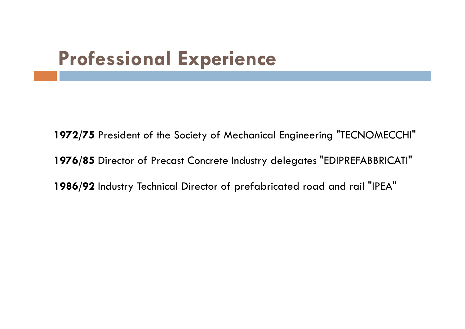## **Professional Experience**

**1972/75** President of the Society of Mechanical Engineering "TECNOMECCHI" **1976/85** Director of Precast Concrete Industry delegates "EDIPREFABBRICATI" **1986/92** Industry Technical Director of prefabricated road and rail "IPEA"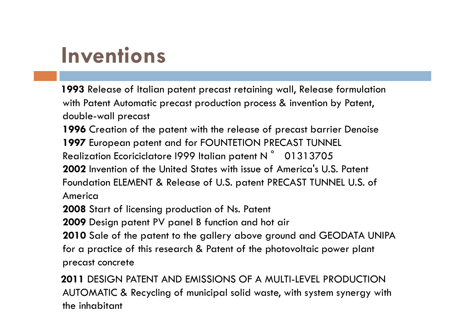# **Inventions**

**1993** Release of Italian patent precast retaining wall, Release formulation with Patent Automatic precast production process & invention by Patent, double-wall precast

**1996** Creation of the patent with the release of precast barrier Denoise **1997** European patent and for FOUNTETION PRECAST TUNNEL Realization Ecoriciclatore 1999 Italian patent N  $^{\circ}$   $\,$  01313705  $\,$  2002 Invention of the United States with issue of America's U.S. **2002** Invention of the United States with issue of America's U.S. Patent Foundation ELEMENT & Release of U.S. patent PRECAST TUNNEL U.S. of America

**2008** Start of licensing production of Ns. Patent

**2009** Design patent PV panel B function and hot air

**2010** Sale of the patent to the gallery above ground and GEODATA UNIPA for a practice of this research & Patent of the photovoltaic power plant precast concrete

**2011** DESIGN PATENT AND EMISSIONS OF A MULTI-LEVEL PRODUCTION AUTOMATIC & Recycling of municipal solid waste, with system synergy with the inhabitant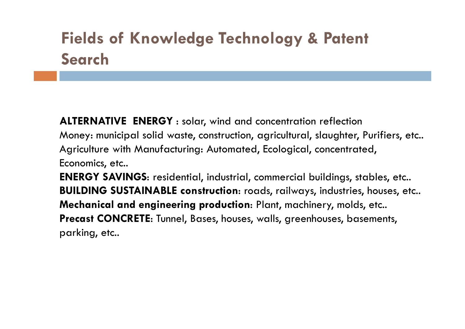### **Fields of Knowledge Technology & Patent Search**

**ALTERNATIVE ENERGY** : solar, wind and concentration reflectionMoney: municipal solid waste, construction, agricultural, slaughter, Purifiers, etc..Agriculture with Manufacturing: Automated, Ecological, concentrated, Economics, etc..**ENERGY SAVINGS**: residential, industrial, commercial buildings, stables, etc..**BUILDING SUSTAINABLE construction**: roads, railways, industries, houses, etc..

**Mechanical and engineering production**: Plant, machinery, molds, etc..**Precast CONCRETE**: Tunnel, Bases, houses, walls, greenhouses, basements, parking, etc..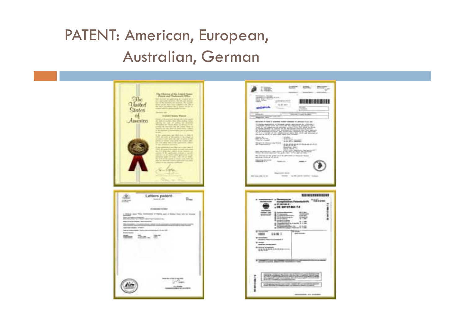#### PATENT: American, European, Australian, German

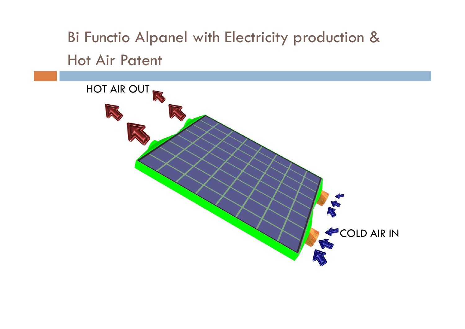Bi Functio Alpanel with Electricity production & Hot Air Patent

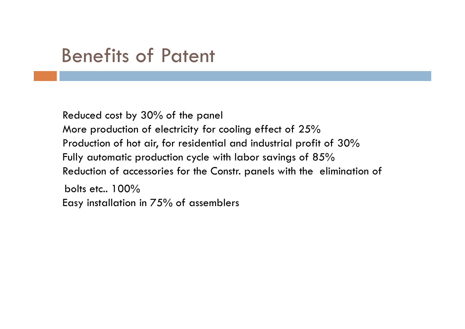### Benefits of Patent

Reduced cost by 30% of the panel More production of electricity for cooling effect of 25 %Production of hot air, for residential and industrial profit of 30%<br>Fully automatic production cycle with labor savings of 8.5% Fully automatic production cycle with labor savings of <sup>85</sup> % Reduction of accessories for the Constr. panels with the elimination of bolts etc.. 100% Easy installation in 75% of assemblers